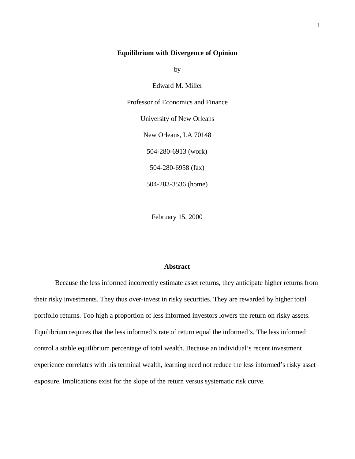#### **Equilibrium with Divergence of Opinion**

by

Edward M. Miller Professor of Economics and Finance University of New Orleans New Orleans, LA 70148 504-280-6913 (work) 504-280-6958 (fax) 504-283-3536 (home)

February 15, 2000

## **Abstract**

Because the less informed incorrectly estimate asset returns, they anticipate higher returns from their risky investments. They thus over-invest in risky securities. They are rewarded by higher total portfolio returns. Too high a proportion of less informed investors lowers the return on risky assets. Equilibrium requires that the less informed's rate of return equal the informed's. The less informed control a stable equilibrium percentage of total wealth. Because an individual's recent investment experience correlates with his terminal wealth, learning need not reduce the less informed's risky asset exposure. Implications exist for the slope of the return versus systematic risk curve.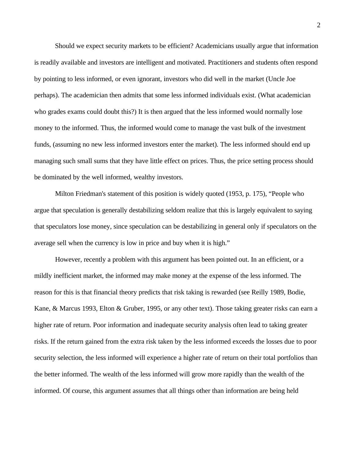Should we expect security markets to be efficient? Academicians usually argue that information is readily available and investors are intelligent and motivated. Practitioners and students often respond by pointing to less informed, or even ignorant, investors who did well in the market (Uncle Joe perhaps). The academician then admits that some less informed individuals exist. (What academician who grades exams could doubt this?) It is then argued that the less informed would normally lose money to the informed. Thus, the informed would come to manage the vast bulk of the investment funds, (assuming no new less informed investors enter the market). The less informed should end up managing such small sums that they have little effect on prices. Thus, the price setting process should be dominated by the well informed, wealthy investors.

Milton Friedman's statement of this position is widely quoted (1953, p. 175), "People who argue that speculation is generally destabilizing seldom realize that this is largely equivalent to saying that speculators lose money, since speculation can be destabilizing in general only if speculators on the average sell when the currency is low in price and buy when it is high."

However, recently a problem with this argument has been pointed out. In an efficient, or a mildly inefficient market, the informed may make money at the expense of the less informed. The reason for this is that financial theory predicts that risk taking is rewarded (see Reilly 1989, Bodie, Kane, & Marcus 1993, Elton & Gruber, 1995, or any other text). Those taking greater risks can earn a higher rate of return. Poor information and inadequate security analysis often lead to taking greater risks. If the return gained from the extra risk taken by the less informed exceeds the losses due to poor security selection, the less informed will experience a higher rate of return on their total portfolios than the better informed. The wealth of the less informed will grow more rapidly than the wealth of the informed. Of course, this argument assumes that all things other than information are being held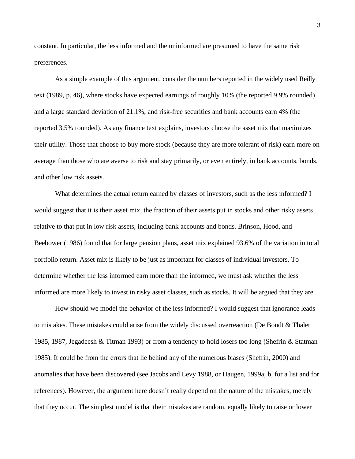constant. In particular, the less informed and the uninformed are presumed to have the same risk preferences.

As a simple example of this argument, consider the numbers reported in the widely used Reilly text (1989, p. 46), where stocks have expected earnings of roughly 10% (the reported 9.9% rounded) and a large standard deviation of 21.1%, and risk-free securities and bank accounts earn 4% (the reported 3.5% rounded). As any finance text explains, investors choose the asset mix that maximizes their utility. Those that choose to buy more stock (because they are more tolerant of risk) earn more on average than those who are averse to risk and stay primarily, or even entirely, in bank accounts, bonds, and other low risk assets.

What determines the actual return earned by classes of investors, such as the less informed? I would suggest that it is their asset mix, the fraction of their assets put in stocks and other risky assets relative to that put in low risk assets, including bank accounts and bonds. Brinson, Hood, and Beebower (1986) found that for large pension plans, asset mix explained 93.6% of the variation in total portfolio return. Asset mix is likely to be just as important for classes of individual investors. To determine whether the less informed earn more than the informed, we must ask whether the less informed are more likely to invest in risky asset classes, such as stocks. It will be argued that they are.

How should we model the behavior of the less informed? I would suggest that ignorance leads to mistakes. These mistakes could arise from the widely discussed overreaction (De Bondt & Thaler 1985, 1987, Jegadeesh & Titman 1993) or from a tendency to hold losers too long (Shefrin & Statman 1985). It could be from the errors that lie behind any of the numerous biases (Shefrin, 2000) and anomalies that have been discovered (see Jacobs and Levy 1988, or Haugen, 1999a, b, for a list and for references). However, the argument here doesn't really depend on the nature of the mistakes, merely that they occur. The simplest model is that their mistakes are random, equally likely to raise or lower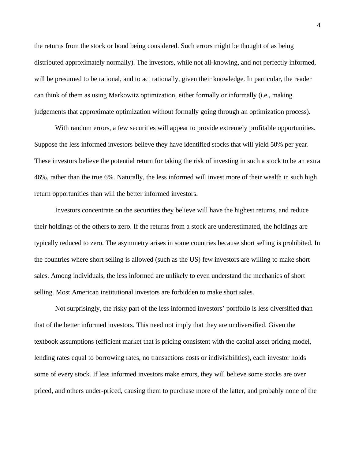the returns from the stock or bond being considered. Such errors might be thought of as being distributed approximately normally). The investors, while not all-knowing, and not perfectly informed, will be presumed to be rational, and to act rationally, given their knowledge. In particular, the reader can think of them as using Markowitz optimization, either formally or informally (i.e., making judgements that approximate optimization without formally going through an optimization process).

With random errors, a few securities will appear to provide extremely profitable opportunities. Suppose the less informed investors believe they have identified stocks that will yield 50% per year. These investors believe the potential return for taking the risk of investing in such a stock to be an extra 46%, rather than the true 6%. Naturally, the less informed will invest more of their wealth in such high return opportunities than will the better informed investors.

Investors concentrate on the securities they believe will have the highest returns, and reduce their holdings of the others to zero. If the returns from a stock are underestimated, the holdings are typically reduced to zero. The asymmetry arises in some countries because short selling is prohibited. In the countries where short selling is allowed (such as the US) few investors are willing to make short sales. Among individuals, the less informed are unlikely to even understand the mechanics of short selling. Most American institutional investors are forbidden to make short sales.

Not surprisingly, the risky part of the less informed investors' portfolio is less diversified than that of the better informed investors. This need not imply that they are undiversified. Given the textbook assumptions (efficient market that is pricing consistent with the capital asset pricing model, lending rates equal to borrowing rates, no transactions costs or indivisibilities), each investor holds some of every stock. If less informed investors make errors, they will believe some stocks are over priced, and others under-priced, causing them to purchase more of the latter, and probably none of the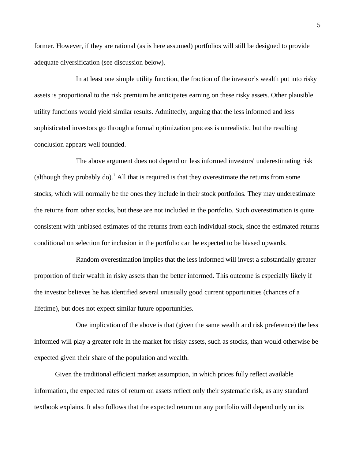former. However, if they are rational (as is here assumed) portfolios will still be designed to provide adequate diversification (see discussion below).

In at least one simple utility function, the fraction of the investor's wealth put into risky assets is proportional to the risk premium he anticipates earning on these risky assets. Other plausible utility functions would yield similar results. Admittedly, arguing that the less informed and less sophisticated investors go through a formal optimization process is unrealistic, but the resulting conclusion appears well founded.

The above argument does not depend on less informed investors' underestimating risk (although they probably do).<sup>1</sup> All that is required is that they overestimate the returns from some stocks, which will normally be the ones they include in their stock portfolios. They may underestimate the returns from other stocks, but these are not included in the portfolio. Such overestimation is quite consistent with unbiased estimates of the returns from each individual stock, since the estimated returns conditional on selection for inclusion in the portfolio can be expected to be biased upwards.

Random overestimation implies that the less informed will invest a substantially greater proportion of their wealth in risky assets than the better informed. This outcome is especially likely if the investor believes he has identified several unusually good current opportunities (chances of a lifetime), but does not expect similar future opportunities.

One implication of the above is that (given the same wealth and risk preference) the less informed will play a greater role in the market for risky assets, such as stocks, than would otherwise be expected given their share of the population and wealth.

Given the traditional efficient market assumption, in which prices fully reflect available information, the expected rates of return on assets reflect only their systematic risk, as any standard textbook explains. It also follows that the expected return on any portfolio will depend only on its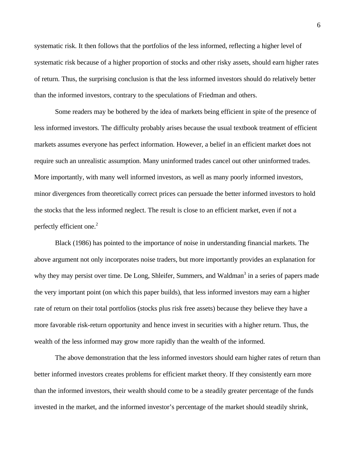systematic risk. It then follows that the portfolios of the less informed, reflecting a higher level of systematic risk because of a higher proportion of stocks and other risky assets, should earn higher rates of return. Thus, the surprising conclusion is that the less informed investors should do relatively better than the informed investors, contrary to the speculations of Friedman and others.

Some readers may be bothered by the idea of markets being efficient in spite of the presence of less informed investors. The difficulty probably arises because the usual textbook treatment of efficient markets assumes everyone has perfect information. However, a belief in an efficient market does not require such an unrealistic assumption. Many uninformed trades cancel out other uninformed trades. More importantly, with many well informed investors, as well as many poorly informed investors, minor divergences from theoretically correct prices can persuade the better informed investors to hold the stocks that the less informed neglect. The result is close to an efficient market, even if not a perfectly efficient one. $2$ 

Black (1986) has pointed to the importance of noise in understanding financial markets. The above argument not only incorporates noise traders, but more importantly provides an explanation for why they may persist over time. De Long, Shleifer, Summers, and Waldman<sup>3</sup> in a series of papers made the very important point (on which this paper builds), that less informed investors may earn a higher rate of return on their total portfolios (stocks plus risk free assets) because they believe they have a more favorable risk-return opportunity and hence invest in securities with a higher return. Thus, the wealth of the less informed may grow more rapidly than the wealth of the informed.

The above demonstration that the less informed investors should earn higher rates of return than better informed investors creates problems for efficient market theory. If they consistently earn more than the informed investors, their wealth should come to be a steadily greater percentage of the funds invested in the market, and the informed investor's percentage of the market should steadily shrink,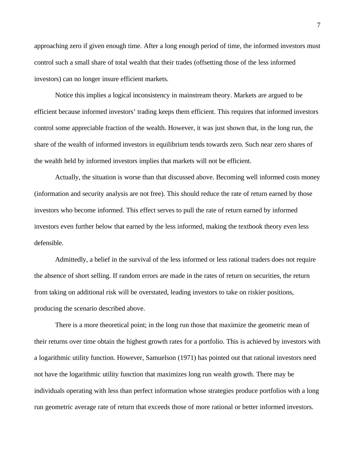approaching zero if given enough time. After a long enough period of time, the informed investors must control such a small share of total wealth that their trades (offsetting those of the less informed investors) can no longer insure efficient markets.

Notice this implies a logical inconsistency in mainstream theory. Markets are argued to be efficient because informed investors' trading keeps them efficient. This requires that informed investors control some appreciable fraction of the wealth. However, it was just shown that, in the long run, the share of the wealth of informed investors in equilibrium tends towards zero. Such near zero shares of the wealth held by informed investors implies that markets will not be efficient.

Actually, the situation is worse than that discussed above. Becoming well informed costs money (information and security analysis are not free). This should reduce the rate of return earned by those investors who become informed. This effect serves to pull the rate of return earned by informed investors even further below that earned by the less informed, making the textbook theory even less defensible.

Admittedly, a belief in the survival of the less informed or less rational traders does not require the absence of short selling. If random errors are made in the rates of return on securities, the return from taking on additional risk will be overstated, leading investors to take on riskier positions, producing the scenario described above.

There is a more theoretical point; in the long run those that maximize the geometric mean of their returns over time obtain the highest growth rates for a portfolio. This is achieved by investors with a logarithmic utility function. However, Samuelson (1971) has pointed out that rational investors need not have the logarithmic utility function that maximizes long run wealth growth. There may be individuals operating with less than perfect information whose strategies produce portfolios with a long run geometric average rate of return that exceeds those of more rational or better informed investors.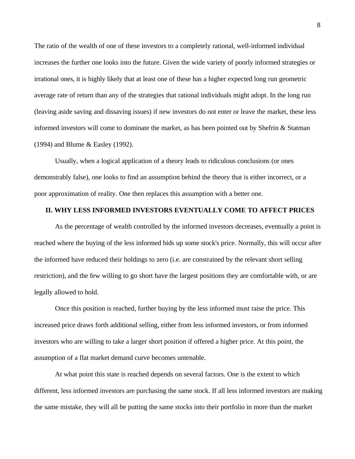The ratio of the wealth of one of these investors to a completely rational, well-informed individual increases the further one looks into the future. Given the wide variety of poorly informed strategies or irrational ones, it is highly likely that at least one of these has a higher expected long run geometric average rate of return than any of the strategies that rational individuals might adopt. In the long run (leaving aside saving and dissaving issues) if new investors do not enter or leave the market, these less informed investors will come to dominate the market, as has been pointed out by Shefrin & Statman (1994) and Blume & Easley (1992).

Usually, when a logical application of a theory leads to ridiculous conclusions (or ones demonstrably false), one looks to find an assumption behind the theory that is either incorrect, or a poor approximation of reality. One then replaces this assumption with a better one.

# **II. WHY LESS INFORMED INVESTORS EVENTUALLY COME TO AFFECT PRICES**

As the percentage of wealth controlled by the informed investors decreases, eventually a point is reached where the buying of the less informed bids up some stock's price. Normally, this will occur after the informed have reduced their holdings to zero (i.e. are constrained by the relevant short selling restriction), and the few willing to go short have the largest positions they are comfortable with, or are legally allowed to hold.

Once this position is reached, further buying by the less informed must raise the price. This increased price draws forth additional selling, either from less informed investors, or from informed investors who are willing to take a larger short position if offered a higher price. At this point, the assumption of a flat market demand curve becomes untenable.

At what point this state is reached depends on several factors. One is the extent to which different, less informed investors are purchasing the same stock. If all less informed investors are making the same mistake, they will all be putting the same stocks into their portfolio in more than the market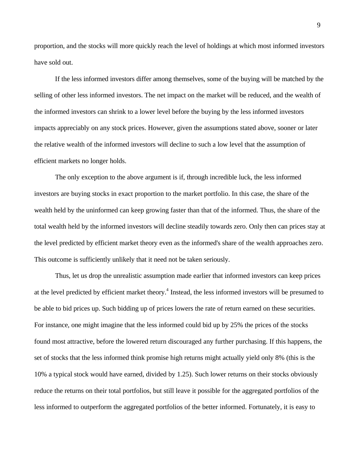proportion, and the stocks will more quickly reach the level of holdings at which most informed investors have sold out.

If the less informed investors differ among themselves, some of the buying will be matched by the selling of other less informed investors. The net impact on the market will be reduced, and the wealth of the informed investors can shrink to a lower level before the buying by the less informed investors impacts appreciably on any stock prices. However, given the assumptions stated above, sooner or later the relative wealth of the informed investors will decline to such a low level that the assumption of efficient markets no longer holds.

The only exception to the above argument is if, through incredible luck, the less informed investors are buying stocks in exact proportion to the market portfolio. In this case, the share of the wealth held by the uninformed can keep growing faster than that of the informed. Thus, the share of the total wealth held by the informed investors will decline steadily towards zero. Only then can prices stay at the level predicted by efficient market theory even as the informed's share of the wealth approaches zero. This outcome is sufficiently unlikely that it need not be taken seriously.

Thus, let us drop the unrealistic assumption made earlier that informed investors can keep prices at the level predicted by efficient market theory.<sup>4</sup> Instead, the less informed investors will be presumed to be able to bid prices up. Such bidding up of prices lowers the rate of return earned on these securities. For instance, one might imagine that the less informed could bid up by 25% the prices of the stocks found most attractive, before the lowered return discouraged any further purchasing. If this happens, the set of stocks that the less informed think promise high returns might actually yield only 8% (this is the 10% a typical stock would have earned, divided by 1.25). Such lower returns on their stocks obviously reduce the returns on their total portfolios, but still leave it possible for the aggregated portfolios of the less informed to outperform the aggregated portfolios of the better informed. Fortunately, it is easy to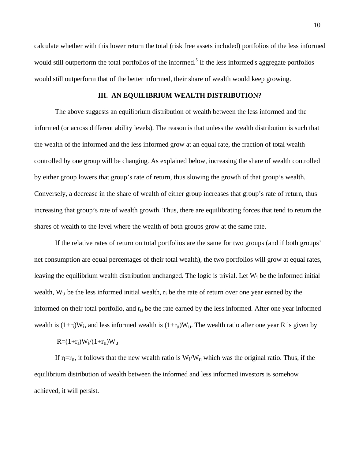calculate whether with this lower return the total (risk free assets included) portfolios of the less informed would still outperform the total portfolios of the informed.<sup>5</sup> If the less informed's aggregate portfolios would still outperform that of the better informed, their share of wealth would keep growing.

## **III. AN EQUILIBRIUM WEALTH DISTRIBUTION?**

The above suggests an equilibrium distribution of wealth between the less informed and the informed (or across different ability levels). The reason is that unless the wealth distribution is such that the wealth of the informed and the less informed grow at an equal rate, the fraction of total wealth controlled by one group will be changing. As explained below, increasing the share of wealth controlled by either group lowers that group's rate of return, thus slowing the growth of that group's wealth. Conversely, a decrease in the share of wealth of either group increases that group's rate of return, thus increasing that group's rate of wealth growth. Thus, there are equilibrating forces that tend to return the shares of wealth to the level where the wealth of both groups grow at the same rate.

If the relative rates of return on total portfolios are the same for two groups (and if both groups' net consumption are equal percentages of their total wealth), the two portfolios will grow at equal rates, leaving the equilibrium wealth distribution unchanged. The logic is trivial. Let W<sub>i</sub> be the informed initial wealth,  $W_u$  be the less informed initial wealth,  $r_i$  be the rate of return over one year earned by the informed on their total portfolio, and  $r<sub>u</sub>$  be the rate earned by the less informed. After one year informed wealth is  $(1+r_i)W_i$ , and less informed wealth is  $(1+r_u)W_u$ . The wealth ratio after one year R is given by

 $R=(1+r_i)W_i/(1+r_u)W_u$ 

If  $r_i = r_u$ , it follows that the new wealth ratio is  $W_i/W_u$  which was the original ratio. Thus, if the equilibrium distribution of wealth between the informed and less informed investors is somehow achieved, it will persist.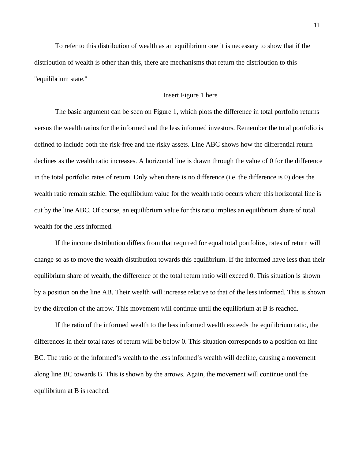To refer to this distribution of wealth as an equilibrium one it is necessary to show that if the distribution of wealth is other than this, there are mechanisms that return the distribution to this "equilibrium state."

## Insert Figure 1 here

The basic argument can be seen on Figure 1, which plots the difference in total portfolio returns versus the wealth ratios for the informed and the less informed investors. Remember the total portfolio is defined to include both the risk-free and the risky assets. Line ABC shows how the differential return declines as the wealth ratio increases. A horizontal line is drawn through the value of 0 for the difference in the total portfolio rates of return. Only when there is no difference (i.e. the difference is 0) does the wealth ratio remain stable. The equilibrium value for the wealth ratio occurs where this horizontal line is cut by the line ABC. Of course, an equilibrium value for this ratio implies an equilibrium share of total wealth for the less informed.

If the income distribution differs from that required for equal total portfolios, rates of return will change so as to move the wealth distribution towards this equilibrium. If the informed have less than their equilibrium share of wealth, the difference of the total return ratio will exceed 0. This situation is shown by a position on the line AB. Their wealth will increase relative to that of the less informed. This is shown by the direction of the arrow. This movement will continue until the equilibrium at B is reached.

If the ratio of the informed wealth to the less informed wealth exceeds the equilibrium ratio, the differences in their total rates of return will be below 0. This situation corresponds to a position on line BC. The ratio of the informed's wealth to the less informed's wealth will decline, causing a movement along line BC towards B. This is shown by the arrows. Again, the movement will continue until the equilibrium at B is reached.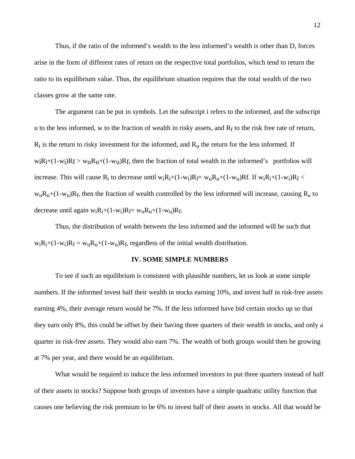Thus, if the ratio of the informed's wealth to the less informed's wealth is other than D, forces arise in the form of different rates of return on the respective total portfolios, which tend to return the ratio to its equilibrium value. Thus, the equilibrium situation requires that the total wealth of the two classes grow at the same rate.

The argument can be put in symbols. Let the subscript i refers to the informed, and the subscript u to the less informed, w to the fraction of wealth in risky assets, and  $R_f$  to the risk free rate of return,  $R_i$  is the return to risky investment for the informed, and  $R_u$  the return for the less informed. If  $w_iR_i+(1-w_i)R_f$  >  $w_uR_u+(1-w_u)R_f$ , then the fraction of total wealth in the informed's portfolios will increase. This will cause  $R_i$  to decrease until  $w_iR_i+(1-w_i)R_f=w_uR_u+(1-w_u)Rf$ . If  $w_iR_i+(1-w_i)R_f$  $w_uR_u+(1-w_u)R_f$ , then the fraction of wealth controlled by the less informed will increase, causing  $R_u$  to decrease until again  $w_iR_i+(1-w_i)R_f=w_uR_u+(1-w_u)R_f$ .

Thus, the distribution of wealth between the less informed and the informed will be such that  $w_iR_i+(1-w_i)R_f = w_uR_u+(1-w_u)R_f$ , regardless of the initial wealth distribution.

## **IV. SOME SIMPLE NUMBERS**

To see if such an equilibrium is consistent with plausible numbers, let us look at some simple numbers. If the informed invest half their wealth in stocks earning 10%, and invest half in risk-free assets earning 4%, their average return would be 7%. If the less informed have bid certain stocks up so that they earn only 8%, this could be offset by their having three quarters of their wealth in stocks, and only a quarter in risk-free assets. They would also earn 7%. The wealth of both groups would then be growing at 7% per year, and there would be an equilibrium.

What would be required to induce the less informed investors to put three quarters instead of half of their assets in stocks? Suppose both groups of investors have a simple quadratic utility function that causes one believing the risk premium to be 6% to invest half of their assets in stocks. All that would be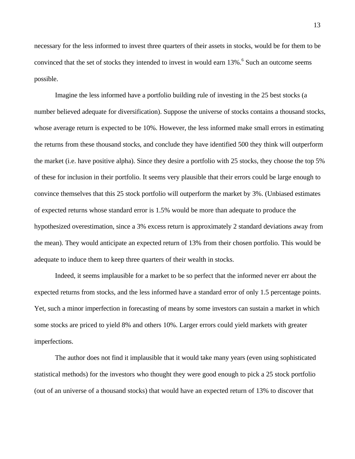necessary for the less informed to invest three quarters of their assets in stocks, would be for them to be convinced that the set of stocks they intended to invest in would earn 13%.<sup>6</sup> Such an outcome seems possible.

Imagine the less informed have a portfolio building rule of investing in the 25 best stocks (a number believed adequate for diversification). Suppose the universe of stocks contains a thousand stocks, whose average return is expected to be 10%. However, the less informed make small errors in estimating the returns from these thousand stocks, and conclude they have identified 500 they think will outperform the market (i.e. have positive alpha). Since they desire a portfolio with 25 stocks, they choose the top 5% of these for inclusion in their portfolio. It seems very plausible that their errors could be large enough to convince themselves that this 25 stock portfolio will outperform the market by 3%. (Unbiased estimates of expected returns whose standard error is 1.5% would be more than adequate to produce the hypothesized overestimation, since a 3% excess return is approximately 2 standard deviations away from the mean). They would anticipate an expected return of 13% from their chosen portfolio. This would be adequate to induce them to keep three quarters of their wealth in stocks.

Indeed, it seems implausible for a market to be so perfect that the informed never err about the expected returns from stocks, and the less informed have a standard error of only 1.5 percentage points. Yet, such a minor imperfection in forecasting of means by some investors can sustain a market in which some stocks are priced to yield 8% and others 10%. Larger errors could yield markets with greater imperfections.

The author does not find it implausible that it would take many years (even using sophisticated statistical methods) for the investors who thought they were good enough to pick a 25 stock portfolio (out of an universe of a thousand stocks) that would have an expected return of 13% to discover that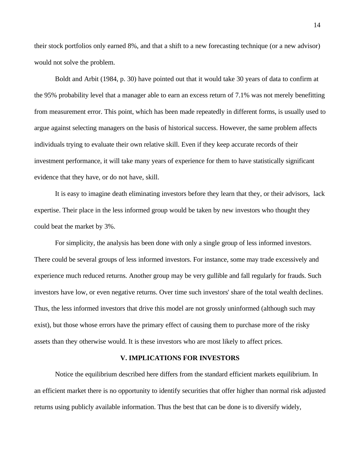their stock portfolios only earned 8%, and that a shift to a new forecasting technique (or a new advisor) would not solve the problem.

Boldt and Arbit (1984, p. 30) have pointed out that it would take 30 years of data to confirm at the 95% probability level that a manager able to earn an excess return of 7.1% was not merely benefitting from measurement error. This point, which has been made repeatedly in different forms, is usually used to argue against selecting managers on the basis of historical success. However, the same problem affects individuals trying to evaluate their own relative skill. Even if they keep accurate records of their investment performance, it will take many years of experience for them to have statistically significant evidence that they have, or do not have, skill.

It is easy to imagine death eliminating investors before they learn that they, or their advisors, lack expertise. Their place in the less informed group would be taken by new investors who thought they could beat the market by 3%.

For simplicity, the analysis has been done with only a single group of less informed investors. There could be several groups of less informed investors. For instance, some may trade excessively and experience much reduced returns. Another group may be very gullible and fall regularly for frauds. Such investors have low, or even negative returns. Over time such investors' share of the total wealth declines. Thus, the less informed investors that drive this model are not grossly uninformed (although such may exist), but those whose errors have the primary effect of causing them to purchase more of the risky assets than they otherwise would. It is these investors who are most likely to affect prices.

## **V. IMPLICATIONS FOR INVESTORS**

Notice the equilibrium described here differs from the standard efficient markets equilibrium. In an efficient market there is no opportunity to identify securities that offer higher than normal risk adjusted returns using publicly available information. Thus the best that can be done is to diversify widely,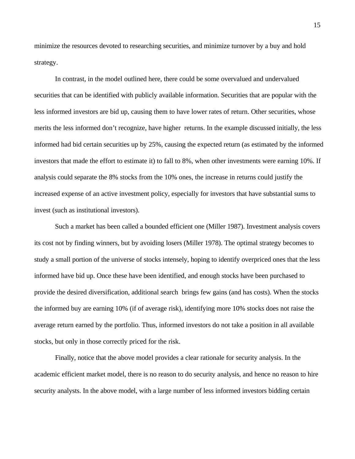minimize the resources devoted to researching securities, and minimize turnover by a buy and hold strategy.

In contrast, in the model outlined here, there could be some overvalued and undervalued securities that can be identified with publicly available information. Securities that are popular with the less informed investors are bid up, causing them to have lower rates of return. Other securities, whose merits the less informed don't recognize, have higher returns. In the example discussed initially, the less informed had bid certain securities up by 25%, causing the expected return (as estimated by the informed investors that made the effort to estimate it) to fall to 8%, when other investments were earning 10%. If analysis could separate the 8% stocks from the 10% ones, the increase in returns could justify the increased expense of an active investment policy, especially for investors that have substantial sums to invest (such as institutional investors).

Such a market has been called a bounded efficient one (Miller 1987). Investment analysis covers its cost not by finding winners, but by avoiding losers (Miller 1978). The optimal strategy becomes to study a small portion of the universe of stocks intensely, hoping to identify overpriced ones that the less informed have bid up. Once these have been identified, and enough stocks have been purchased to provide the desired diversification, additional search brings few gains (and has costs). When the stocks the informed buy are earning 10% (if of average risk), identifying more 10% stocks does not raise the average return earned by the portfolio. Thus, informed investors do not take a position in all available stocks, but only in those correctly priced for the risk.

Finally, notice that the above model provides a clear rationale for security analysis. In the academic efficient market model, there is no reason to do security analysis, and hence no reason to hire security analysts. In the above model, with a large number of less informed investors bidding certain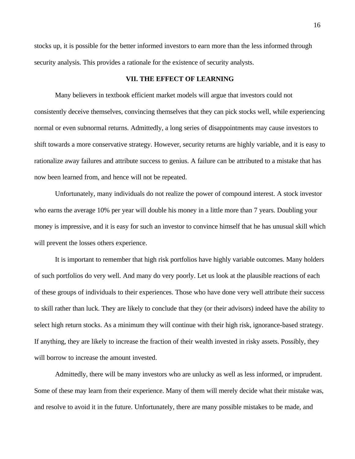stocks up, it is possible for the better informed investors to earn more than the less informed through security analysis. This provides a rationale for the existence of security analysts.

#### **VII. THE EFFECT OF LEARNING**

Many believers in textbook efficient market models will argue that investors could not consistently deceive themselves, convincing themselves that they can pick stocks well, while experiencing normal or even subnormal returns. Admittedly, a long series of disappointments may cause investors to shift towards a more conservative strategy. However, security returns are highly variable, and it is easy to rationalize away failures and attribute success to genius. A failure can be attributed to a mistake that has now been learned from, and hence will not be repeated.

Unfortunately, many individuals do not realize the power of compound interest. A stock investor who earns the average 10% per year will double his money in a little more than 7 years. Doubling your money is impressive, and it is easy for such an investor to convince himself that he has unusual skill which will prevent the losses others experience.

It is important to remember that high risk portfolios have highly variable outcomes. Many holders of such portfolios do very well. And many do very poorly. Let us look at the plausible reactions of each of these groups of individuals to their experiences. Those who have done very well attribute their success to skill rather than luck. They are likely to conclude that they (or their advisors) indeed have the ability to select high return stocks. As a minimum they will continue with their high risk, ignorance-based strategy. If anything, they are likely to increase the fraction of their wealth invested in risky assets. Possibly, they will borrow to increase the amount invested.

Admittedly, there will be many investors who are unlucky as well as less informed, or imprudent. Some of these may learn from their experience. Many of them will merely decide what their mistake was, and resolve to avoid it in the future. Unfortunately, there are many possible mistakes to be made, and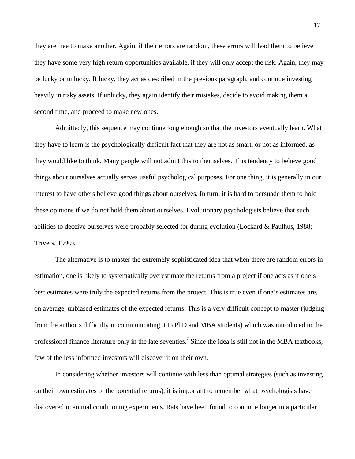they are free to make another. Again, if their errors are random, these errors will lead them to believe they have some very high return opportunities available, if they will only accept the risk. Again, they may be lucky or unlucky. If lucky, they act as described in the previous paragraph, and continue investing heavily in risky assets. If unlucky, they again identify their mistakes, decide to avoid making them a second time, and proceed to make new ones.

Admittedly, this sequence may continue long enough so that the investors eventually learn. What they have to learn is the psychologically difficult fact that they are not as smart, or not as informed, as they would like to think. Many people will not admit this to themselves. This tendency to believe good things about ourselves actually serves useful psychological purposes. For one thing, it is generally in our interest to have others believe good things about ourselves. In turn, it is hard to persuade them to hold these opinions if we do not hold them about ourselves. Evolutionary psychologists believe that such abilities to deceive ourselves were probably selected for during evolution (Lockard & Paulhus, 1988; Trivers, 1990).

The alternative is to master the extremely sophisticated idea that when there are random errors in estimation, one is likely to systematically overestimate the returns from a project if one acts as if one's best estimates were truly the expected returns from the project. This is true even if one's estimates are, on average, unbiased estimates of the expected returns. This is a very difficult concept to master (judging from the author's difficulty in communicating it to PhD and MBA students) which was introduced to the professional finance literature only in the late seventies.<sup>7</sup> Since the idea is still not in the MBA textbooks, few of the less informed investors will discover it on their own.

In considering whether investors will continue with less than optimal strategies (such as investing on their own estimates of the potential returns), it is important to remember what psychologists have discovered in animal conditioning experiments. Rats have been found to continue longer in a particular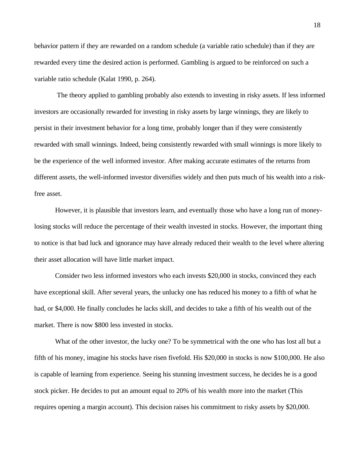behavior pattern if they are rewarded on a random schedule (a variable ratio schedule) than if they are rewarded every time the desired action is performed. Gambling is argued to be reinforced on such a variable ratio schedule (Kalat 1990, p. 264).

 The theory applied to gambling probably also extends to investing in risky assets. If less informed investors are occasionally rewarded for investing in risky assets by large winnings, they are likely to persist in their investment behavior for a long time, probably longer than if they were consistently rewarded with small winnings. Indeed, being consistently rewarded with small winnings is more likely to be the experience of the well informed investor. After making accurate estimates of the returns from different assets, the well-informed investor diversifies widely and then puts much of his wealth into a riskfree asset.

However, it is plausible that investors learn, and eventually those who have a long run of moneylosing stocks will reduce the percentage of their wealth invested in stocks. However, the important thing to notice is that bad luck and ignorance may have already reduced their wealth to the level where altering their asset allocation will have little market impact.

Consider two less informed investors who each invests \$20,000 in stocks, convinced they each have exceptional skill. After several years, the unlucky one has reduced his money to a fifth of what he had, or \$4,000. He finally concludes he lacks skill, and decides to take a fifth of his wealth out of the market. There is now \$800 less invested in stocks.

What of the other investor, the lucky one? To be symmetrical with the one who has lost all but a fifth of his money, imagine his stocks have risen fivefold. His \$20,000 in stocks is now \$100,000. He also is capable of learning from experience. Seeing his stunning investment success, he decides he is a good stock picker. He decides to put an amount equal to 20% of his wealth more into the market (This requires opening a margin account). This decision raises his commitment to risky assets by \$20,000.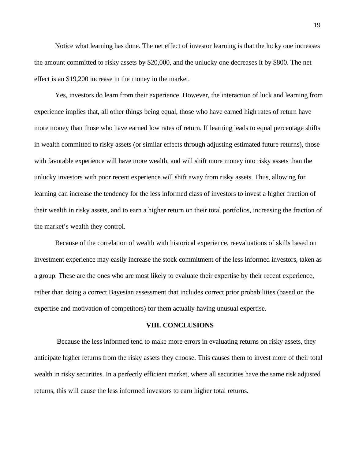Notice what learning has done. The net effect of investor learning is that the lucky one increases the amount committed to risky assets by \$20,000, and the unlucky one decreases it by \$800. The net effect is an \$19,200 increase in the money in the market.

Yes, investors do learn from their experience. However, the interaction of luck and learning from experience implies that, all other things being equal, those who have earned high rates of return have more money than those who have earned low rates of return. If learning leads to equal percentage shifts in wealth committed to risky assets (or similar effects through adjusting estimated future returns), those with favorable experience will have more wealth, and will shift more money into risky assets than the unlucky investors with poor recent experience will shift away from risky assets. Thus, allowing for learning can increase the tendency for the less informed class of investors to invest a higher fraction of their wealth in risky assets, and to earn a higher return on their total portfolios, increasing the fraction of the market's wealth they control.

Because of the correlation of wealth with historical experience, reevaluations of skills based on investment experience may easily increase the stock commitment of the less informed investors, taken as a group. These are the ones who are most likely to evaluate their expertise by their recent experience, rather than doing a correct Bayesian assessment that includes correct prior probabilities (based on the expertise and motivation of competitors) for them actually having unusual expertise.

#### **VIII. CONCLUSIONS**

 Because the less informed tend to make more errors in evaluating returns on risky assets, they anticipate higher returns from the risky assets they choose. This causes them to invest more of their total wealth in risky securities. In a perfectly efficient market, where all securities have the same risk adjusted returns, this will cause the less informed investors to earn higher total returns.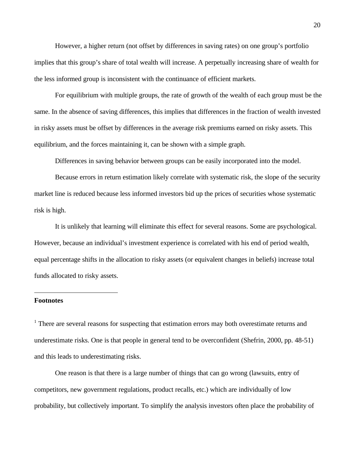However, a higher return (not offset by differences in saving rates) on one group's portfolio implies that this group's share of total wealth will increase. A perpetually increasing share of wealth for the less informed group is inconsistent with the continuance of efficient markets.

For equilibrium with multiple groups, the rate of growth of the wealth of each group must be the same. In the absence of saving differences, this implies that differences in the fraction of wealth invested in risky assets must be offset by differences in the average risk premiums earned on risky assets. This equilibrium, and the forces maintaining it, can be shown with a simple graph.

Differences in saving behavior between groups can be easily incorporated into the model.

Because errors in return estimation likely correlate with systematic risk, the slope of the security market line is reduced because less informed investors bid up the prices of securities whose systematic risk is high.

It is unlikely that learning will eliminate this effect for several reasons. Some are psychological. However, because an individual's investment experience is correlated with his end of period wealth, equal percentage shifts in the allocation to risky assets (or equivalent changes in beliefs) increase total funds allocated to risky assets.

## **Footnotes**

 $\overline{a}$ 

<sup>1</sup> There are several reasons for suspecting that estimation errors may both overestimate returns and underestimate risks. One is that people in general tend to be overconfident (Shefrin, 2000, pp. 48-51) and this leads to underestimating risks.

One reason is that there is a large number of things that can go wrong (lawsuits, entry of competitors, new government regulations, product recalls, etc.) which are individually of low probability, but collectively important. To simplify the analysis investors often place the probability of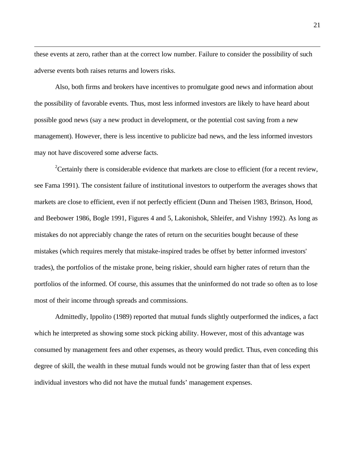these events at zero, rather than at the correct low number. Failure to consider the possibility of such adverse events both raises returns and lowers risks.

 $\overline{a}$ 

Also, both firms and brokers have incentives to promulgate good news and information about the possibility of favorable events. Thus, most less informed investors are likely to have heard about possible good news (say a new product in development, or the potential cost saving from a new management). However, there is less incentive to publicize bad news, and the less informed investors may not have discovered some adverse facts.

<sup>2</sup>Certainly there is considerable evidence that markets are close to efficient (for a recent review, see Fama 1991). The consistent failure of institutional investors to outperform the averages shows that markets are close to efficient, even if not perfectly efficient (Dunn and Theisen 1983, Brinson, Hood, and Beebower 1986, Bogle 1991, Figures 4 and 5, Lakonishok, Shleifer, and Vishny 1992). As long as mistakes do not appreciably change the rates of return on the securities bought because of these mistakes (which requires merely that mistake-inspired trades be offset by better informed investors' trades), the portfolios of the mistake prone, being riskier, should earn higher rates of return than the portfolios of the informed. Of course, this assumes that the uninformed do not trade so often as to lose most of their income through spreads and commissions.

Admittedly, Ippolito (1989) reported that mutual funds slightly outperformed the indices, a fact which he interpreted as showing some stock picking ability. However, most of this advantage was consumed by management fees and other expenses, as theory would predict. Thus, even conceding this degree of skill, the wealth in these mutual funds would not be growing faster than that of less expert individual investors who did not have the mutual funds' management expenses.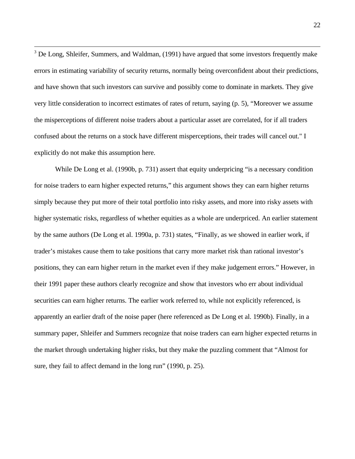$3$  De Long, Shleifer, Summers, and Waldman, (1991) have argued that some investors frequently make errors in estimating variability of security returns, normally being overconfident about their predictions, and have shown that such investors can survive and possibly come to dominate in markets. They give very little consideration to incorrect estimates of rates of return, saying (p. 5), "Moreover we assume the misperceptions of different noise traders about a particular asset are correlated, for if all traders confused about the returns on a stock have different misperceptions, their trades will cancel out." I explicitly do not make this assumption here.

 $\overline{a}$ 

While De Long et al. (1990b, p. 731) assert that equity underpricing "is a necessary condition for noise traders to earn higher expected returns," this argument shows they can earn higher returns simply because they put more of their total portfolio into risky assets, and more into risky assets with higher systematic risks, regardless of whether equities as a whole are underpriced. An earlier statement by the same authors (De Long et al. 1990a, p. 731) states, "Finally, as we showed in earlier work, if trader's mistakes cause them to take positions that carry more market risk than rational investor's positions, they can earn higher return in the market even if they make judgement errors." However, in their 1991 paper these authors clearly recognize and show that investors who err about individual securities can earn higher returns. The earlier work referred to, while not explicitly referenced, is apparently an earlier draft of the noise paper (here referenced as De Long et al. 1990b). Finally, in a summary paper, Shleifer and Summers recognize that noise traders can earn higher expected returns in the market through undertaking higher risks, but they make the puzzling comment that "Almost for sure, they fail to affect demand in the long run" (1990, p. 25).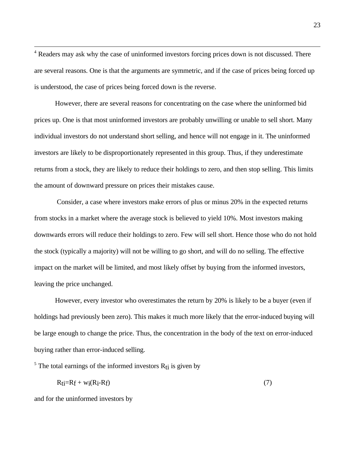<sup>4</sup> Readers may ask why the case of uninformed investors forcing prices down is not discussed. There are several reasons. One is that the arguments are symmetric, and if the case of prices being forced up is understood, the case of prices being forced down is the reverse.

However, there are several reasons for concentrating on the case where the uninformed bid prices up. One is that most uninformed investors are probably unwilling or unable to sell short. Many individual investors do not understand short selling, and hence will not engage in it. The uninformed investors are likely to be disproportionately represented in this group. Thus, if they underestimate returns from a stock, they are likely to reduce their holdings to zero, and then stop selling. This limits the amount of downward pressure on prices their mistakes cause.

 Consider, a case where investors make errors of plus or minus 20% in the expected returns from stocks in a market where the average stock is believed to yield 10%. Most investors making downwards errors will reduce their holdings to zero. Few will sell short. Hence those who do not hold the stock (typically a majority) will not be willing to go short, and will do no selling. The effective impact on the market will be limited, and most likely offset by buying from the informed investors, leaving the price unchanged.

However, every investor who overestimates the return by 20% is likely to be a buyer (even if holdings had previously been zero). This makes it much more likely that the error-induced buying will be large enough to change the price. Thus, the concentration in the body of the text on error-induced buying rather than error-induced selling.

 $<sup>5</sup>$  The total earnings of the informed investors  $R_{ti}$  is given by</sup>

$$
R_{ti} = R_f + w_i(R_i - R_f) \tag{7}
$$

and for the uninformed investors by

 $\overline{a}$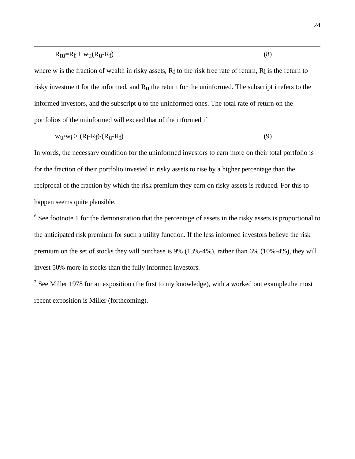$$
R_{tu} = R_f + w_u (R_u - R_f) \tag{8}
$$

 $\overline{a}$ 

where w is the fraction of wealth in risky assets,  $R_f$  to the risk free rate of return,  $R_i$  is the return to risky investment for the informed, and  $R<sub>u</sub>$  the return for the uninformed. The subscript i refers to the informed investors, and the subscript u to the uninformed ones. The total rate of return on the portfolios of the uninformed will exceed that of the informed if

$$
w_{\mathbf{u}}/w_{\mathbf{i}} > (R_{\mathbf{i}} - R_{\mathbf{f}})/(R_{\mathbf{u}} - R_{\mathbf{f}}) \tag{9}
$$

In words, the necessary condition for the uninformed investors to earn more on their total portfolio is for the fraction of their portfolio invested in risky assets to rise by a higher percentage than the reciprocal of the fraction by which the risk premium they earn on risky assets is reduced. For this to happen seems quite plausible.

<sup>6</sup> See footnote 1 for the demonstration that the percentage of assets in the risky assets is proportional to the anticipated risk premium for such a utility function. If the less informed investors believe the risk premium on the set of stocks they will purchase is 9% (13%-4%), rather than 6% (10%-4%), they will invest 50% more in stocks than the fully informed investors.

<sup>7</sup> See Miller 1978 for an exposition (the first to my knowledge), with a worked out example.the most recent exposition is Miller (forthcoming).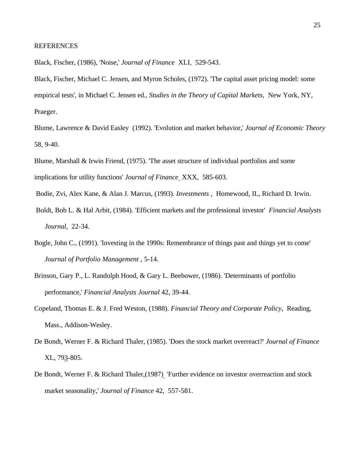Black, Fischer, (1986), 'Noise,' *Journal of Finance* XLI, 529-543.

Black, Fischer, Michael C. Jensen, and Myron Scholes, (1972). 'The capital asset pricing model: some empirical tests', in Michael C. Jensen ed., *Studies in the Theory of Capital Markets*, New York, NY, Praeger.

Blume, Lawrence & David Easley (1992). 'Evolution and market behavior,' *Journal of Economic Theory* 58, 9-40.

Blume, Marshall & Irwin Friend, (1975). 'The asset structure of individual portfolios and some implications for utility functions' *Journal of Finance* XXX, 585-603.

Bodie, Zvi, Alex Kane, & Alan J. Marcus, (1993). *Investments* , Homewood, IL, Richard D. Irwin.

- Boldt, Bob L. & Hal Arbit, (1984). 'Efficient markets and the professional investor' *Financial Analysts Journal*, 22-34.
- Bogle, John C., (1991). 'Investing in the 1990s: Remembrance of things past and things yet to come' *Journal of Portfolio Management* , 5-14.
- Brinson, Gary P., L. Randolph Hood, & Gary L. Beebower, (1986). 'Determinants of portfolio performance,' *Financial Analysts Journal* 42, 39-44.
- Copeland, Thomas E. & J. Fred Weston, (1988). *Financial Theory and Corporate Policy*, Reading, Mass., Addison-Wesley.
- De Bondt, Werner F. & Richard Thaler, (1985). 'Does the stock market overreact?' *Journal of Finance* XL, 793-805.
- De Bondt, Werner F. & Richard Thaler,(1987) . 'Further evidence on investor overreaction and stock market seasonality,' *Journal of Finance* 42, 557-581.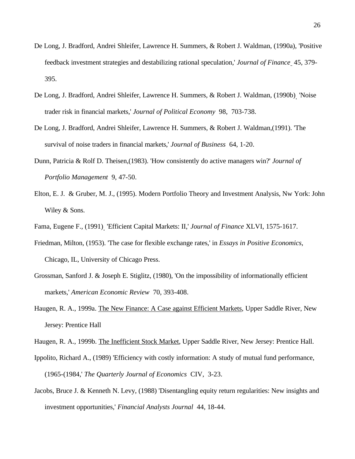- De Long, J. Bradford, Andrei Shleifer, Lawrence H. Summers, & Robert J. Waldman, (1990a), 'Positive feedback investment strategies and destabilizing rational speculation,' *Journal of Finance* 45, 379- 395.
- De Long, J. Bradford, Andrei Shleifer, Lawrence H. Summers, & Robert J. Waldman, (1990b) . 'Noise trader risk in financial markets,' *Journal of Political Economy* 98, 703-738.
- De Long, J. Bradford, Andrei Shleifer, Lawrence H. Summers, & Robert J. Waldman,(1991). 'The survival of noise traders in financial markets,' *Journal of Business* 64, 1-20.
- Dunn, Patricia & Rolf D. Theisen,(1983). 'How consistently do active managers win?' *Journal of Portfolio Management* 9, 47-50.
- Elton, E. J. & Gruber, M. J., (1995). Modern Portfolio Theory and Investment Analysis, Nw York: John Wiley & Sons.
- Fama, Eugene F., (1991) . 'Efficient Capital Markets: II,' *Journal of Finance* XLVI, 1575-1617.
- Friedman, Milton, (1953). 'The case for flexible exchange rates,' in *Essays in Positive Economics*, Chicago, IL, University of Chicago Press.
- Grossman, Sanford J. & Joseph E. Stiglitz, (1980), 'On the impossibility of informationally efficient markets,' *American Economic Review* 70, 393-408.
- Haugen, R. A., 1999a. The New Finance: A Case against Efficient Markets, Upper Saddle River, New Jersey: Prentice Hall

- Ippolito, Richard A., (1989) 'Efficiency with costly information: A study of mutual fund performance, (1965-(1984,' *The Quarterly Journal of Economics* CIV, 3-23.
- Jacobs, Bruce J. & Kenneth N. Levy, (1988) 'Disentangling equity return regularities: New insights and investment opportunities,' *Financial Analysts Journal* 44, 18-44.

Haugen, R. A., 1999b. The Inefficient Stock Market, Upper Saddle River, New Jersey: Prentice Hall.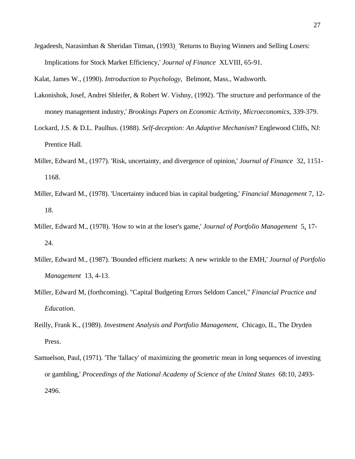Jegadeesh, Narasimhan & Sheridan Titman, (1993) . 'Returns to Buying Winners and Selling Losers: Implications for Stock Market Efficiency,' *Journal of Finance* XLVIII, 65-91.

Kalat, James W., (1990). *Introduction to Psychology*, Belmont, Mass., Wadsworth.

- Lakonishok, Josef, Andrei Shleifer, & Robert W. Vishny, (1992). 'The structure and performance of the money management industry,' *Brookings Papers on Economic Activity, Microeconomics*, 339-379.
- Lockard, J.S. & D.L. Paulhus. (1988). *Self-deception: An Adaptive Mechanism*? Englewood Cliffs, NJ: Prentice Hall.
- Miller, Edward M., (1977). 'Risk, uncertainty, and divergence of opinion,' *Journal of Finance* 32, 1151- 1168.
- Miller, Edward M., (1978). 'Uncertainty induced bias in capital budgeting,' *Financial Management* 7, 12- 18.
- Miller, Edward M., (1978). 'How to win at the loser's game,' *Journal of Portfolio Management* 5, 17- 24.
- Miller, Edward M., (1987). 'Bounded efficient markets: A new wrinkle to the EMH,' *Journal of Portfolio Management* 13, 4-13.
- Miller, Edward M, (forthcoming). "Capital Budgeting Errors Seldom Cancel," *Financial Practice and Education*.
- Reilly, Frank K., (1989). *Investment Analysis and Portfolio Management*, Chicago, IL, The Dryden Press.
- Samuelson, Paul, (1971). 'The 'fallacy' of maximizing the geometric mean in long sequences of investing or gambling,' *Proceedings of the National Academy of Science of the United States* 68:10, 2493- 2496.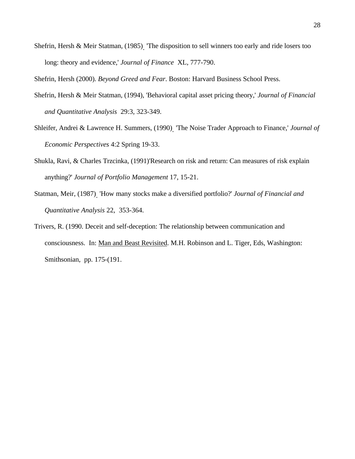Shefrin, Hersh & Meir Statman, (1985) . 'The disposition to sell winners too early and ride losers too long: theory and evidence,' *Journal of Finance* XL, 777-790.

Shefrin, Hersh (2000). *Beyond Greed and Fear*. Boston: Harvard Business School Press.

- Shefrin, Hersh & Meir Statman, (1994), 'Behavioral capital asset pricing theory,' *Journal of Financial and Quantitative Analysis* 29:3, 323-349.
- Shleifer, Andrei & Lawrence H. Summers, (1990) . 'The Noise Trader Approach to Finance,' *Journal of Economic Perspectives* 4:2 Spring 19-33.
- Shukla, Ravi, & Charles Trzcinka, (1991)'Research on risk and return: Can measures of risk explain anything?' *Journal of Portfolio Management* 17, 15-21.
- Statman, Meir, (1987) . 'How many stocks make a diversified portfolio?' *Journal of Financial and Quantitative Analysis* 22, 353-364.
- Trivers, R. (1990. Deceit and self-deception: The relationship between communication and consciousness. In: Man and Beast Revisited. M.H. Robinson and L. Tiger, Eds, Washington: Smithsonian, pp. 175-(191.